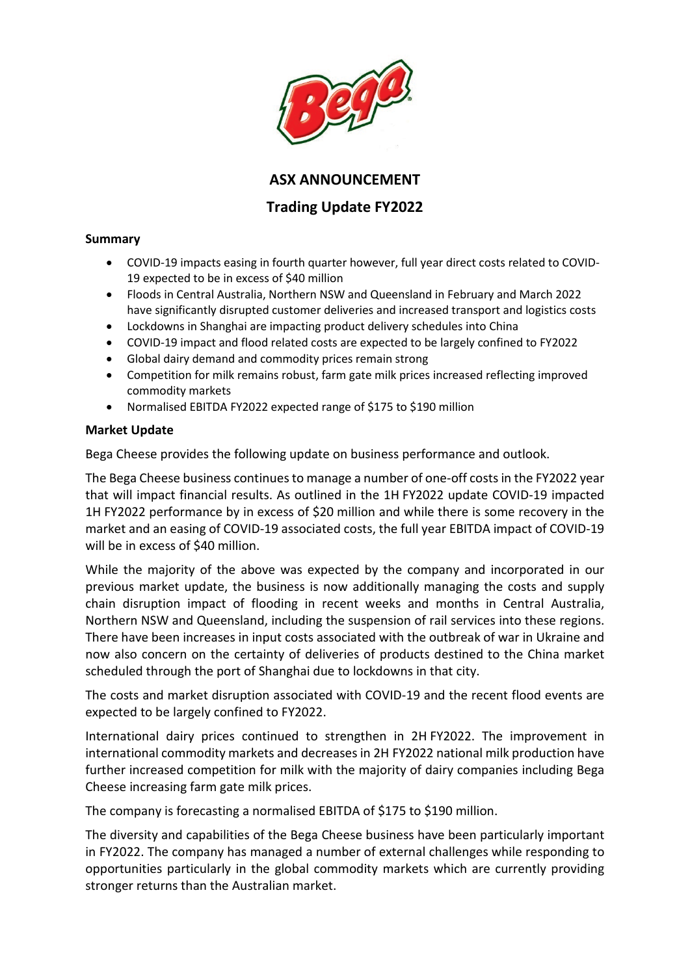

**ASX ANNOUNCEMENT**

## **Trading Update FY2022**

## **Summary**

- COVID-19 impacts easing in fourth quarter however, full year direct costs related to COVID-19 expected to be in excess of \$40 million
- Floods in Central Australia, Northern NSW and Queensland in February and March 2022 have significantly disrupted customer deliveries and increased transport and logistics costs
- Lockdowns in Shanghai are impacting product delivery schedules into China
- COVID-19 impact and flood related costs are expected to be largely confined to FY2022
- Global dairy demand and commodity prices remain strong
- Competition for milk remains robust, farm gate milk prices increased reflecting improved commodity markets
- Normalised EBITDA FY2022 expected range of \$175 to \$190 million

## **Market Update**

Bega Cheese provides the following update on business performance and outlook.

The Bega Cheese business continues to manage a number of one-off costs in the FY2022 year that will impact financial results. As outlined in the 1H FY2022 update COVID-19 impacted 1H FY2022 performance by in excess of \$20 million and while there is some recovery in the market and an easing of COVID-19 associated costs, the full year EBITDA impact of COVID-19 will be in excess of \$40 million.

While the majority of the above was expected by the company and incorporated in our previous market update, the business is now additionally managing the costs and supply chain disruption impact of flooding in recent weeks and months in Central Australia, Northern NSW and Queensland, including the suspension of rail services into these regions. There have been increases in input costs associated with the outbreak of war in Ukraine and now also concern on the certainty of deliveries of products destined to the China market scheduled through the port of Shanghai due to lockdowns in that city.

The costs and market disruption associated with COVID-19 and the recent flood events are expected to be largely confined to FY2022.

International dairy prices continued to strengthen in 2H FY2022. The improvement in international commodity markets and decreases in 2H FY2022 national milk production have further increased competition for milk with the majority of dairy companies including Bega Cheese increasing farm gate milk prices.

The company is forecasting a normalised EBITDA of \$175 to \$190 million.

The diversity and capabilities of the Bega Cheese business have been particularly important in FY2022. The company has managed a number of external challenges while responding to opportunities particularly in the global commodity markets which are currently providing stronger returns than the Australian market.